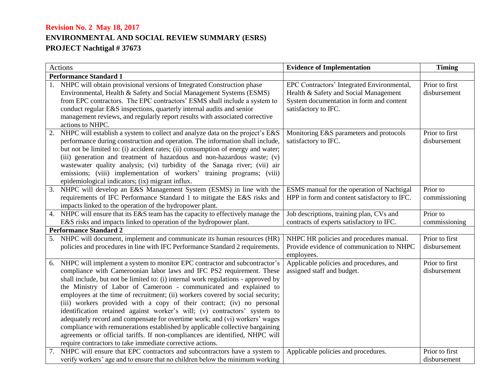| Actions                       |                                                                                   | <b>Evidence of Implementation</b>                       | <b>Timing</b>  |
|-------------------------------|-----------------------------------------------------------------------------------|---------------------------------------------------------|----------------|
| <b>Performance Standard 1</b> |                                                                                   |                                                         |                |
|                               | NHPC will obtain provisional versions of Integrated Construction phase            | EPC Contractors' Integrated Environmental,              | Prior to first |
|                               | Environmental, Health & Safety and Social Management Systems (ESMS)               | Health & Safety and Social Management                   | disbursement   |
|                               | from EPC contractors. The EPC contractors' ESMS shall include a system to         | System documentation in form and content                |                |
|                               | conduct regular E&S inspections, quarterly internal audits and senior             | satisfactory to IFC.                                    |                |
|                               | management reviews, and regularly report results with associated corrective       |                                                         |                |
|                               | actions to NHPC.                                                                  |                                                         |                |
|                               | NHPC will establish a system to collect and analyze data on the project's E&S     | Monitoring E&S parameters and protocols                 | Prior to first |
|                               | performance during construction and operation. The information shall include,     | satisfactory to IFC.                                    | disbursement   |
|                               | but not be limited to: (i) accident rates; (ii) consumption of energy and water;  |                                                         |                |
|                               | (iii) generation and treatment of hazardous and non-hazardous waste; (v)          |                                                         |                |
|                               | wastewater quality analysis; (vi) turbidity of the Sanaga river; (vii) air        |                                                         |                |
|                               | emissions; (viii) implementation of workers' training programs; (viii)            |                                                         |                |
|                               | epidemiological indicators; (ix) migrant influx.                                  |                                                         |                |
| 3.                            | NHPC will develop an E&S Management System (ESMS) in line with the                | ESMS manual for the operation of Nachtigal              | Prior to       |
|                               | requirements of IFC Performance Standard 1 to mitigate the E&S risks and          | HPP in form and content satisfactory to IFC.            | commissioning  |
|                               | impacts linked to the operation of the hydropower plant.                          |                                                         |                |
| 4.                            | NHPC will ensure that its E&S team has the capacity to effectively manage the     | Job descriptions, training plan, CVs and                | Prior to       |
|                               | E&S risks and impacts linked to operation of the hydropower plant.                | contracts of experts satisfactory to IFC.               | commissioning  |
| <b>Performance Standard 2</b> |                                                                                   |                                                         |                |
|                               | NHPC will document, implement and communicate its human resources (HR)            | NHPC HR policies and procedures manual.                 | Prior to first |
|                               | policies and procedures in line with IFC Performance Standard 2 requirements.     | Provide evidence of communication to NHPC<br>employees. | disbursement   |
| 6.                            | NHPC will implement a system to monitor EPC contractor and subcontractor's        | Applicable policies and procedures, and                 | Prior to first |
|                               | compliance with Cameroonian labor laws and IFC PS2 requirement. These             | assigned staff and budget.                              | disbursement   |
|                               | shall include, but not be limited to: (i) internal work regulations - approved by |                                                         |                |
|                               | the Ministry of Labor of Cameroon - communicated and explained to                 |                                                         |                |
|                               | employees at the time of recruitment; (ii) workers covered by social security;    |                                                         |                |
|                               | (iii) workers provided with a copy of their contract; (iv) no personal            |                                                         |                |
|                               | identification retained against worker's will; (v) contractors' system to         |                                                         |                |
|                               | adequately record and compensate for overtime work; and (vi) workers' wages       |                                                         |                |
|                               | compliance with remunerations established by applicable collective bargaining     |                                                         |                |
|                               | agreements or official tariffs. If non-compliances are identified, NHPC will      |                                                         |                |
|                               | require contractors to take immediate corrective actions.                         |                                                         |                |
| 7.                            | NHPC will ensure that EPC contractors and subcontractors have a system to         | Applicable policies and procedures.                     | Prior to first |
|                               | verify workers' age and to ensure that no children below the minimum working      |                                                         | disbursement   |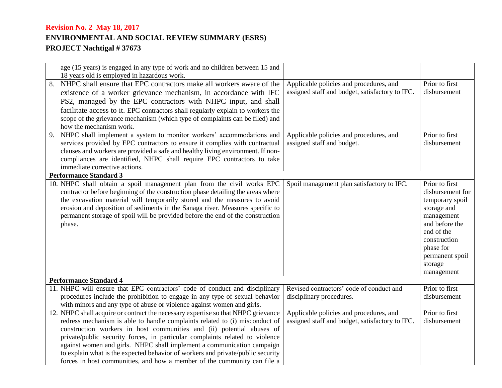|    | age (15 years) is engaged in any type of work and no children between 15 and                                        |                                                 |                  |
|----|---------------------------------------------------------------------------------------------------------------------|-------------------------------------------------|------------------|
|    | 18 years old is employed in hazardous work.<br>NHPC shall ensure that EPC contractors make all workers aware of the | Applicable policies and procedures, and         | Prior to first   |
|    | existence of a worker grievance mechanism, in accordance with IFC                                                   | assigned staff and budget, satisfactory to IFC. | disbursement     |
|    |                                                                                                                     |                                                 |                  |
|    | PS2, managed by the EPC contractors with NHPC input, and shall                                                      |                                                 |                  |
|    | facilitate access to it. EPC contractors shall regularly explain to workers the                                     |                                                 |                  |
|    | scope of the grievance mechanism (which type of complaints can be filed) and                                        |                                                 |                  |
|    | how the mechanism work.                                                                                             |                                                 | Prior to first   |
| 9. | NHPC shall implement a system to monitor workers' accommodations and                                                | Applicable policies and procedures, and         |                  |
|    | services provided by EPC contractors to ensure it complies with contractual                                         | assigned staff and budget.                      | disbursement     |
|    | clauses and workers are provided a safe and healthy living environment. If non-                                     |                                                 |                  |
|    | compliances are identified, NHPC shall require EPC contractors to take<br>immediate corrective actions.             |                                                 |                  |
|    | <b>Performance Standard 3</b>                                                                                       |                                                 |                  |
|    | 10. NHPC shall obtain a spoil management plan from the civil works EPC                                              | Spoil management plan satisfactory to IFC.      | Prior to first   |
|    | contractor before beginning of the construction phase detailing the areas where                                     |                                                 | disbursement for |
|    | the excavation material will temporarily stored and the measures to avoid                                           |                                                 | temporary spoil  |
|    | erosion and deposition of sediments in the Sanaga river. Measures specific to                                       |                                                 | storage and      |
|    | permanent storage of spoil will be provided before the end of the construction                                      |                                                 | management       |
|    | phase.                                                                                                              |                                                 | and before the   |
|    |                                                                                                                     |                                                 | end of the       |
|    |                                                                                                                     |                                                 | construction     |
|    |                                                                                                                     |                                                 | phase for        |
|    |                                                                                                                     |                                                 | permanent spoil  |
|    |                                                                                                                     |                                                 | storage          |
|    |                                                                                                                     |                                                 | management       |
|    | <b>Performance Standard 4</b>                                                                                       |                                                 |                  |
|    | 11. NHPC will ensure that EPC contractors' code of conduct and disciplinary                                         | Revised contractors' code of conduct and        | Prior to first   |
|    | procedures include the prohibition to engage in any type of sexual behavior                                         | disciplinary procedures.                        | disbursement     |
|    | with minors and any type of abuse or violence against women and girls.                                              |                                                 |                  |
|    | 12. NHPC shall acquire or contract the necessary expertise so that NHPC grievance                                   | Applicable policies and procedures, and         | Prior to first   |
|    | redress mechanism is able to handle complaints related to (i) misconduct of                                         | assigned staff and budget, satisfactory to IFC. | disbursement     |
|    | construction workers in host communities and (ii) potential abuses of                                               |                                                 |                  |
|    | private/public security forces, in particular complaints related to violence                                        |                                                 |                  |
|    | against women and girls. NHPC shall implement a communication campaign                                              |                                                 |                  |
|    | to explain what is the expected behavior of workers and private/public security                                     |                                                 |                  |
|    | forces in host communities, and how a member of the community can file a                                            |                                                 |                  |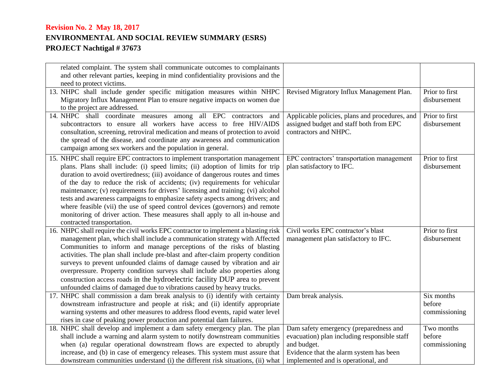| related complaint. The system shall communicate outcomes to complainants<br>and other relevant parties, keeping in mind confidentiality provisions and the |                                                                                           |                      |
|------------------------------------------------------------------------------------------------------------------------------------------------------------|-------------------------------------------------------------------------------------------|----------------------|
| need to protect victims.                                                                                                                                   |                                                                                           |                      |
| 13. NHPC shall include gender specific mitigation measures within NHPC                                                                                     | Revised Migratory Influx Management Plan.                                                 | Prior to first       |
| Migratory Influx Management Plan to ensure negative impacts on women due                                                                                   |                                                                                           | disbursement         |
| to the project are addressed.                                                                                                                              |                                                                                           | Prior to first       |
| 14. NHPC shall coordinate measures among all EPC contractors and<br>subcontractors to ensure all workers have access to free HIV/AIDS                      | Applicable policies, plans and procedures, and<br>assigned budget and staff both from EPC | disbursement         |
| consultation, screening, retroviral medication and means of protection to avoid                                                                            | contractors and NHPC.                                                                     |                      |
| the spread of the disease, and coordinate any awareness and communication                                                                                  |                                                                                           |                      |
| campaign among sex workers and the population in general.                                                                                                  |                                                                                           |                      |
| 15. NHPC shall require EPC contractors to implement transportation management                                                                              | EPC contractors' transportation management                                                | Prior to first       |
| plans. Plans shall include: (i) speed limits; (ii) adoption of limits for trip                                                                             | plan satisfactory to IFC.                                                                 | disbursement         |
| duration to avoid overtiredness; (iii) avoidance of dangerous routes and times                                                                             |                                                                                           |                      |
| of the day to reduce the risk of accidents; (iv) requirements for vehicular                                                                                |                                                                                           |                      |
| maintenance; (v) requirements for drivers' licensing and training; (vi) alcohol                                                                            |                                                                                           |                      |
| tests and awareness campaigns to emphasize safety aspects among drivers; and                                                                               |                                                                                           |                      |
| where feasible (vii) the use of speed control devices (governors) and remote                                                                               |                                                                                           |                      |
| monitoring of driver action. These measures shall apply to all in-house and                                                                                |                                                                                           |                      |
| contracted transportation.<br>16. NHPC shall require the civil works EPC contractor to implement a blasting risk                                           | Civil works EPC contractor's blast                                                        | Prior to first       |
| management plan, which shall include a communication strategy with Affected                                                                                | management plan satisfactory to IFC.                                                      | disbursement         |
| Communities to inform and manage perceptions of the risks of blasting                                                                                      |                                                                                           |                      |
| activities. The plan shall include pre-blast and after-claim property condition                                                                            |                                                                                           |                      |
| surveys to prevent unfounded claims of damage caused by vibration and air                                                                                  |                                                                                           |                      |
| overpressure. Property condition surveys shall include also properties along                                                                               |                                                                                           |                      |
| construction access roads in the hydroelectric facility DUP area to prevent                                                                                |                                                                                           |                      |
| unfounded claims of damaged due to vibrations caused by heavy trucks.                                                                                      |                                                                                           |                      |
| 17. NHPC shall commission a dam break analysis to (i) identify with certainty                                                                              | Dam break analysis.                                                                       | Six months           |
| downstream infrastructure and people at risk; and (ii) identify appropriate                                                                                |                                                                                           | before               |
| warning systems and other measures to address flood events, rapid water level                                                                              |                                                                                           | commissioning        |
| rises in case of peaking power production and potential dam failures.                                                                                      |                                                                                           |                      |
| 18. NHPC shall develop and implement a dam safety emergency plan. The plan<br>shall include a warning and alarm system to notify downstream communities    | Dam safety emergency (preparedness and<br>evacuation) plan including responsible staff    | Two months<br>before |
| when (a) regular operational downstream flows are expected to abruptly                                                                                     | and budget.                                                                               | commissioning        |
| increase, and (b) in case of emergency releases. This system must assure that                                                                              | Evidence that the alarm system has been                                                   |                      |
| downstream communities understand (i) the different risk situations, (ii) what                                                                             | implemented and is operational, and                                                       |                      |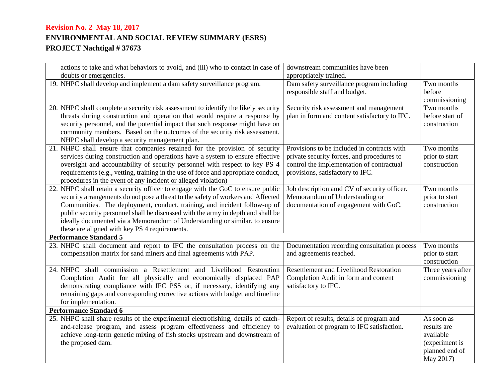| actions to take and what behaviors to avoid, and (iii) who to contact in case of                                                                                                                                                                                                                                                                                                                                                                                     | downstream communities have been                                                                                                                                           |                                                                                         |
|----------------------------------------------------------------------------------------------------------------------------------------------------------------------------------------------------------------------------------------------------------------------------------------------------------------------------------------------------------------------------------------------------------------------------------------------------------------------|----------------------------------------------------------------------------------------------------------------------------------------------------------------------------|-----------------------------------------------------------------------------------------|
| doubts or emergencies.                                                                                                                                                                                                                                                                                                                                                                                                                                               | appropriately trained.                                                                                                                                                     |                                                                                         |
| 19. NHPC shall develop and implement a dam safety surveillance program.                                                                                                                                                                                                                                                                                                                                                                                              | Dam safety surveillance program including<br>responsible staff and budget.                                                                                                 | Two months<br>before<br>commissioning                                                   |
| 20. NHPC shall complete a security risk assessment to identify the likely security<br>threats during construction and operation that would require a response by<br>security personnel, and the potential impact that such response might have on<br>community members. Based on the outcomes of the security risk assessment,<br>NHPC shall develop a security management plan.                                                                                     | Security risk assessment and management<br>plan in form and content satisfactory to IFC.                                                                                   | Two months<br>before start of<br>construction                                           |
| 21. NHPC shall ensure that companies retained for the provision of security<br>services during construction and operations have a system to ensure effective<br>oversight and accountability of security personnel with respect to key PS 4<br>requirements (e.g., vetting, training in the use of force and appropriate conduct,<br>procedures in the event of any incident or alleged violation)                                                                   | Provisions to be included in contracts with<br>private security forces, and procedures to<br>control the implementation of contractual<br>provisions, satisfactory to IFC. | Two months<br>prior to start<br>construction                                            |
| 22. NHPC shall retain a security officer to engage with the GoC to ensure public<br>security arrangements do not pose a threat to the safety of workers and Affected<br>Communities. The deployment, conduct, training, and incident follow-up of<br>public security personnel shall be discussed with the army in depth and shall be<br>ideally documented via a Memorandum of Understanding or similar, to ensure<br>these are aligned with key PS 4 requirements. | Job description amd CV of security officer.<br>Memorandum of Understanding or<br>documentation of engagement with GoC.                                                     | Two months<br>prior to start<br>construction                                            |
| <b>Performance Standard 5</b>                                                                                                                                                                                                                                                                                                                                                                                                                                        |                                                                                                                                                                            |                                                                                         |
| 23. NHPC shall document and report to IFC the consultation process on the<br>compensation matrix for sand miners and final agreements with PAP.                                                                                                                                                                                                                                                                                                                      | Documentation recording consultation process<br>and agreements reached.                                                                                                    | Two months<br>prior to start<br>construction                                            |
| 24. NHPC shall commission a Resettlement and Livelihood Restoration<br>Completion Audit for all physically and economically displaced PAP<br>demonstrating compliance with IFC PS5 or, if necessary, identifying any<br>remaining gaps and corresponding corrective actions with budget and timeline<br>for implementation.                                                                                                                                          | <b>Resettlement and Livelihood Restoration</b><br>Completion Audit in form and content<br>satisfactory to IFC.                                                             | Three years after<br>commissioning                                                      |
| <b>Performance Standard 6</b>                                                                                                                                                                                                                                                                                                                                                                                                                                        |                                                                                                                                                                            |                                                                                         |
| 25. NHPC shall share results of the experimental electrofishing, details of catch-<br>and-release program, and assess program effectiveness and efficiency to<br>achieve long-term genetic mixing of fish stocks upstream and downstream of<br>the proposed dam.                                                                                                                                                                                                     | Report of results, details of program and<br>evaluation of program to IFC satisfaction.                                                                                    | As soon as<br>results are<br>available<br>(experiment is<br>planned end of<br>May 2017) |